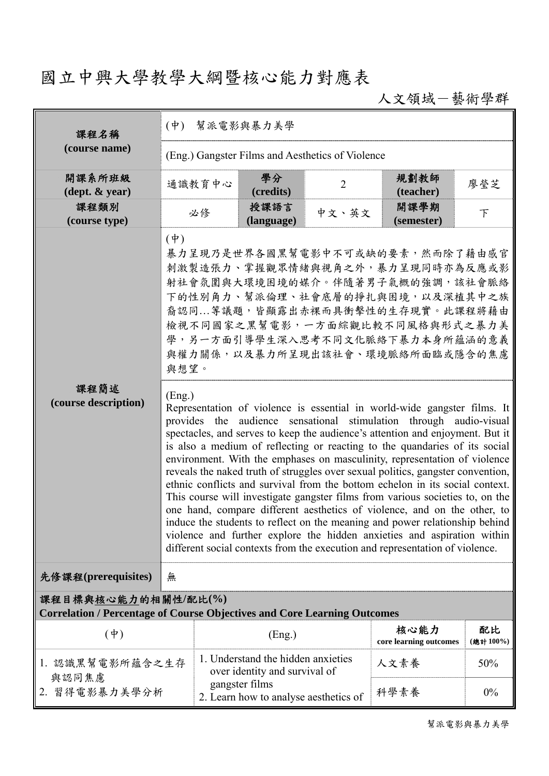## 國立中興大學教學大綱暨核心能力對應表

人文領域-藝術學群

| 課程名稱                                                                                                   | $(\phi)$<br>幫派電影與暴力美學                                                                                                                                                                                                                                                                                                                                                                                                                                                                                                                                                                                                                                                                                                                                                                                                                                                                                                                                                                                                                                                                                                                                                                                                                                                                          |                                                                                                                                |                    |                                |                    |     |  |  |  |  |
|--------------------------------------------------------------------------------------------------------|------------------------------------------------------------------------------------------------------------------------------------------------------------------------------------------------------------------------------------------------------------------------------------------------------------------------------------------------------------------------------------------------------------------------------------------------------------------------------------------------------------------------------------------------------------------------------------------------------------------------------------------------------------------------------------------------------------------------------------------------------------------------------------------------------------------------------------------------------------------------------------------------------------------------------------------------------------------------------------------------------------------------------------------------------------------------------------------------------------------------------------------------------------------------------------------------------------------------------------------------------------------------------------------------|--------------------------------------------------------------------------------------------------------------------------------|--------------------|--------------------------------|--------------------|-----|--|--|--|--|
| (course name)                                                                                          | (Eng.) Gangster Films and Aesthetics of Violence                                                                                                                                                                                                                                                                                                                                                                                                                                                                                                                                                                                                                                                                                                                                                                                                                                                                                                                                                                                                                                                                                                                                                                                                                                               |                                                                                                                                |                    |                                |                    |     |  |  |  |  |
| 開課系所班級<br>$(\text{dept.} \& \text{ year})$                                                             |                                                                                                                                                                                                                                                                                                                                                                                                                                                                                                                                                                                                                                                                                                                                                                                                                                                                                                                                                                                                                                                                                                                                                                                                                                                                                                | 通識教育中心                                                                                                                         | 學分<br>(credits)    | $\overline{2}$                 | 規劃教師<br>(teacher)  | 廖瑩芝 |  |  |  |  |
| 課程類別<br>(course type)                                                                                  |                                                                                                                                                                                                                                                                                                                                                                                                                                                                                                                                                                                                                                                                                                                                                                                                                                                                                                                                                                                                                                                                                                                                                                                                                                                                                                | 必修                                                                                                                             | 授課語言<br>(language) | 中文、英文                          | 開課學期<br>(semester) | 下   |  |  |  |  |
| 課程簡述<br>(course description)                                                                           | $(\dagger)$<br>暴力呈現乃是世界各國黑幫電影中不可或缺的要素,然而除了藉由感官<br>刺激製造張力、掌握觀眾情緒與視角之外,暴力呈現同時亦為反應或影<br>射社會氛圍與大環境困境的媒介。伴隨著男子氣概的強調,該社會脈絡<br>下的性別角力、幫派倫理、社會底層的掙扎與困境,以及深植其中之族<br>裔認同等議題,皆顯露出赤裸而具衝擊性的生存現實。此課程將藉由<br>檢視不同國家之黑幫電影,一方面綜觀比較不同風格與形式之暴力美<br>學,另一方面引導學生深入思考不同文化脈絡下暴力本身所蘊涵的意義<br>與權力關係,以及暴力所呈現出該社會、環境脈絡所面臨或隱含的焦慮<br>與想望。<br>(Eng.)<br>Representation of violence is essential in world-wide gangster films. It<br>audience sensational stimulation through audio-visual<br>provides the<br>spectacles, and serves to keep the audience's attention and enjoyment. But it<br>is also a medium of reflecting or reacting to the quandaries of its social<br>environment. With the emphases on masculinity, representation of violence<br>reveals the naked truth of struggles over sexual politics, gangster convention,<br>ethnic conflicts and survival from the bottom echelon in its social context.<br>This course will investigate gangster films from various societies to, on the<br>one hand, compare different aesthetics of violence, and on the other, to<br>induce the students to reflect on the meaning and power relationship behind<br>violence and further explore the hidden anxieties and aspiration within<br>different social contexts from the execution and representation of violence. |                                                                                                                                |                    |                                |                    |     |  |  |  |  |
| 先修課程(prerequisites)                                                                                    | 無                                                                                                                                                                                                                                                                                                                                                                                                                                                                                                                                                                                                                                                                                                                                                                                                                                                                                                                                                                                                                                                                                                                                                                                                                                                                                              |                                                                                                                                |                    |                                |                    |     |  |  |  |  |
| 課程目標與核心能力的相關性/配比(%)<br><b>Correlation / Percentage of Course Objectives and Core Learning Outcomes</b> |                                                                                                                                                                                                                                                                                                                                                                                                                                                                                                                                                                                                                                                                                                                                                                                                                                                                                                                                                                                                                                                                                                                                                                                                                                                                                                |                                                                                                                                |                    |                                |                    |     |  |  |  |  |
| $(\dagger)$                                                                                            |                                                                                                                                                                                                                                                                                                                                                                                                                                                                                                                                                                                                                                                                                                                                                                                                                                                                                                                                                                                                                                                                                                                                                                                                                                                                                                | (Eng.)                                                                                                                         |                    | 核心能力<br>core learning outcomes | 配比<br>(總計100%)     |     |  |  |  |  |
| 1. 認識黑幫電影所蘊含之生存<br>與認同焦慮<br>2. 習得電影暴力美學分析                                                              |                                                                                                                                                                                                                                                                                                                                                                                                                                                                                                                                                                                                                                                                                                                                                                                                                                                                                                                                                                                                                                                                                                                                                                                                                                                                                                | 1. Understand the hidden anxieties<br>over identity and survival of<br>gangster films<br>2. Learn how to analyse aesthetics of |                    | 人文素養                           | 50%                |     |  |  |  |  |
|                                                                                                        |                                                                                                                                                                                                                                                                                                                                                                                                                                                                                                                                                                                                                                                                                                                                                                                                                                                                                                                                                                                                                                                                                                                                                                                                                                                                                                |                                                                                                                                |                    | 科學素養                           | 0%                 |     |  |  |  |  |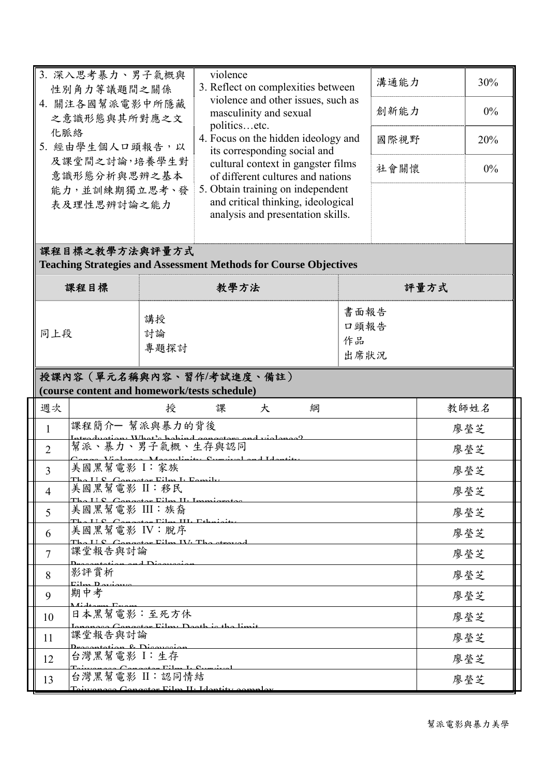| 3. 深入思考暴力、男子氣概與<br>性別角力等議題間之關係                                                            | violence         | 3. Reflect on complexities between<br>violence and other issues, such as<br>masculinity and sexual<br>politicsetc.<br>4. Focus on the hidden ideology and<br>its corresponding social and<br>cultural context in gangster films<br>of different cultures and nations<br>5. Obtain training on independent<br>and critical thinking, ideological<br>analysis and presentation skills. |                            | 溝通能力 |      |  |  |  |  |
|-------------------------------------------------------------------------------------------|------------------|--------------------------------------------------------------------------------------------------------------------------------------------------------------------------------------------------------------------------------------------------------------------------------------------------------------------------------------------------------------------------------------|----------------------------|------|------|--|--|--|--|
| 4. 關注各國幫派電影中所隱藏<br>之意識形態與其所對應之文                                                           |                  |                                                                                                                                                                                                                                                                                                                                                                                      |                            | 創新能力 |      |  |  |  |  |
| 化脈絡<br>5. 經由學生個人口頭報告,以                                                                    |                  |                                                                                                                                                                                                                                                                                                                                                                                      |                            | 國際視野 |      |  |  |  |  |
| 及課堂間之討論,培養學生對<br>意識形態分析與思辨之基本                                                             |                  |                                                                                                                                                                                                                                                                                                                                                                                      |                            | 社會關懷 |      |  |  |  |  |
| 能力,並訓練期獨立思考、發<br>表及理性思辨討論之能力                                                              |                  |                                                                                                                                                                                                                                                                                                                                                                                      |                            |      |      |  |  |  |  |
| 課程目標之教學方法與評量方式<br><b>Teaching Strategies and Assessment Methods for Course Objectives</b> |                  |                                                                                                                                                                                                                                                                                                                                                                                      |                            |      |      |  |  |  |  |
| 課程目標                                                                                      | 教學方法             |                                                                                                                                                                                                                                                                                                                                                                                      |                            | 評量方式 |      |  |  |  |  |
| 講授<br>討論<br>同上段<br>專題探討                                                                   |                  |                                                                                                                                                                                                                                                                                                                                                                                      | 書面報告<br>口頭報告<br>作品<br>出席狀況 |      |      |  |  |  |  |
| 授課內容 (單元名稱與內容、習作/考試進度、備註)<br>(course content and homework/tests schedule)                 |                  |                                                                                                                                                                                                                                                                                                                                                                                      |                            |      |      |  |  |  |  |
| 週次                                                                                        | 授<br>大<br>課<br>綱 |                                                                                                                                                                                                                                                                                                                                                                                      |                            |      | 教師姓名 |  |  |  |  |
| 課程簡介一 幫派與暴力的背後<br>$\mathbf{1}$<br>and $rightspace^0$                                      |                  |                                                                                                                                                                                                                                                                                                                                                                                      |                            | 廖瑩芝  |      |  |  |  |  |
| 幫派、暴力、男子氣概、生存與認同<br>$\overline{2}$<br>$Cz$ and $Cz$ and $Tz$                              |                  |                                                                                                                                                                                                                                                                                                                                                                                      |                            |      | 廖瑩芝  |  |  |  |  |
| 美國黑幫電影 I:家族<br>$\overline{3}$                                                             |                  |                                                                                                                                                                                                                                                                                                                                                                                      |                            |      | 廖瑩芝  |  |  |  |  |
| $TTC$ $C$<br>美國黑幫電影 II:移民<br>$\overline{4}$                                               |                  |                                                                                                                                                                                                                                                                                                                                                                                      |                            |      | 廖瑩芝  |  |  |  |  |
| atan Eilm II. Immir<br>美國黑幫電影 III:族裔<br>5                                                 |                  |                                                                                                                                                                                                                                                                                                                                                                                      |                            |      | 廖瑩芝  |  |  |  |  |
| Conceter Eilen III. Ethniait<br>美國黑幫電影 IV:脫序<br>6                                         |                  |                                                                                                                                                                                                                                                                                                                                                                                      |                            |      | 廖瑩芝  |  |  |  |  |
| rator Eilm IV. The atr<br>課堂報告與討論<br>$\overline{7}$                                       |                  |                                                                                                                                                                                                                                                                                                                                                                                      |                            |      | 廖瑩芝  |  |  |  |  |
| n and Disauc<br>影評賞析<br>8                                                                 |                  |                                                                                                                                                                                                                                                                                                                                                                                      |                            |      | 廖瑩芝  |  |  |  |  |
| <u>r:1,,,, n,,</u><br>期中考<br>9                                                            |                  |                                                                                                                                                                                                                                                                                                                                                                                      |                            |      | 廖瑩芝  |  |  |  |  |
|                                                                                           |                  |                                                                                                                                                                                                                                                                                                                                                                                      |                            |      |      |  |  |  |  |
| 日本黑幫電影:至死方休<br>10                                                                         |                  |                                                                                                                                                                                                                                                                                                                                                                                      |                            |      | 廖瑩芝  |  |  |  |  |
| 課堂報告與討論<br>11                                                                             |                  |                                                                                                                                                                                                                                                                                                                                                                                      |                            |      | 廖瑩芝  |  |  |  |  |
| 台灣黑幫電影 I:生存<br>12                                                                         |                  |                                                                                                                                                                                                                                                                                                                                                                                      |                            |      | 廖瑩芝  |  |  |  |  |